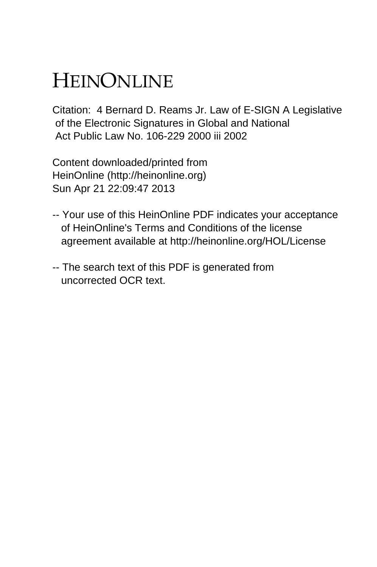## HEINONLINE

Citation: 4 Bernard D. Reams Jr. Law of E-SIGN A Legislative of the Electronic Signatures in Global and National Act Public Law No. 106-229 2000 iii 2002

Content downloaded/printed from HeinOnline (http://heinonline.org) Sun Apr 21 22:09:47 2013

- -- Your use of this HeinOnline PDF indicates your acceptance of HeinOnline's Terms and Conditions of the license agreement available at http://heinonline.org/HOL/License
- -- The search text of this PDF is generated from uncorrected OCR text.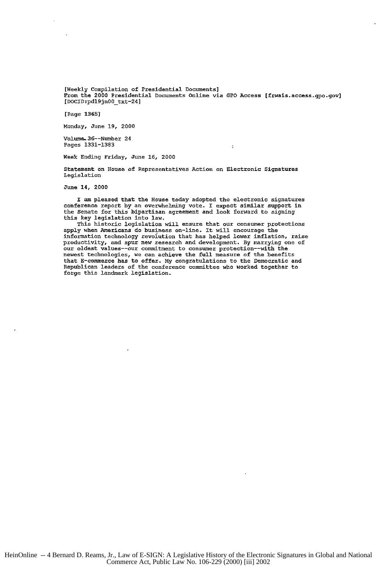[Weekly Compilation of Presidential Documents] From the 2000 Presidential Documents Online via **GPO** Access [frwais.access.gpo.gov] [DOCID:pd19jn00\_txt-24]

 $\epsilon$ 

[Page **1365]**

Monday, June 19, 2000

Volume. 36--Number 24 Pages **1331-1383**

Week Ending Friday, June 16, 2000

Statement on House of Representatives Action on Electronic Signatures Legislation

June 14, 2000

**I** am pleased that the House today adopted the electronic signatures conference report by an overwhelming vote. I expect similar support in the Senate for this bipartisan agreement and look forward to signing this key legislation into law.

This historic legislation will ensure that our consumer protections apply when Americans do business on-line. It will encourage the information technology revoiution that has helped lower inflation, raise productivity, and spur new research and development. By marrying one of our oldest values--our commitment to consumer protection--with the newest technologies, we can achieve the full measure of the benefits that E-commerce has to offer. My congratulations to the Democratic and Republican leaders of the conference committee who worked together to forge this landmark legislation.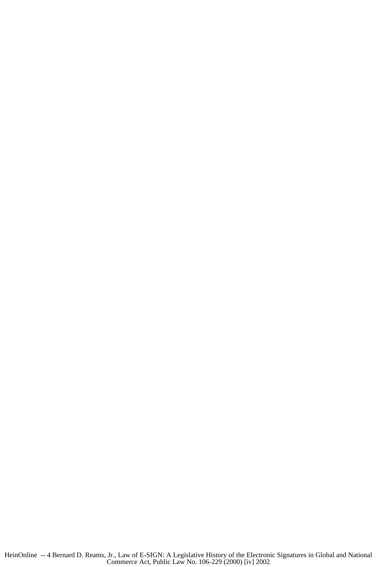HeinOnline -- 4 Bernard D. Reams, Jr., Law of E-SIGN: A Legislative History of the Electronic Signatures in Global and National Commerce Act, Public Law No. 106-229 (2000) [iv] 2002